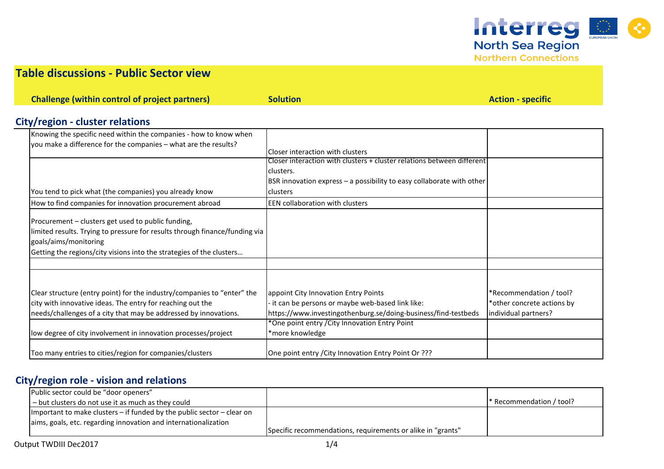

**Northern Connections** 

## **Table discussions - Public Sector view**

**Challenge (within control of project partners) Solution Action - specific** *Solution* **Action - specific** 

# **City/region - cluster relations**

| Knowing the specific need within the companies - how to know when           |                                                                        |                            |
|-----------------------------------------------------------------------------|------------------------------------------------------------------------|----------------------------|
| you make a difference for the companies - what are the results?             |                                                                        |                            |
|                                                                             | Closer interaction with clusters                                       |                            |
|                                                                             | Closer interaction with clusters + cluster relations between different |                            |
|                                                                             | clusters.                                                              |                            |
|                                                                             | BSR innovation express - a possibility to easy collaborate with other  |                            |
| You tend to pick what (the companies) you already know                      | clusters                                                               |                            |
| How to find companies for innovation procurement abroad                     | <b>EEN collaboration with clusters</b>                                 |                            |
| Procurement - clusters get used to public funding,                          |                                                                        |                            |
| limited results. Trying to pressure for results through finance/funding via |                                                                        |                            |
| goals/aims/monitoring                                                       |                                                                        |                            |
| Getting the regions/city visions into the strategies of the clusters        |                                                                        |                            |
|                                                                             |                                                                        |                            |
|                                                                             |                                                                        |                            |
| Clear structure (entry point) for the industry/companies to "enter" the     | appoint City Innovation Entry Points                                   | *Recommendation / tool?    |
| city with innovative ideas. The entry for reaching out the                  | it can be persons or maybe web-based link like:                        | *other concrete actions by |
| needs/challenges of a city that may be addressed by innovations.            | https://www.investingothenburg.se/doing-business/find-testbeds         | individual partners?       |
|                                                                             | *One point entry / City Innovation Entry Point                         |                            |
| low degree of city involvement in innovation processes/project              | *more knowledge                                                        |                            |
| Too many entries to cities/region for companies/clusters                    | One point entry / City Innovation Entry Point Or ???                   |                            |

## **City/region role - vision and relations**

| Public sector could be "door openers"                                      |                                                             |                                       |
|----------------------------------------------------------------------------|-------------------------------------------------------------|---------------------------------------|
| I – but clusters do not use it as much as they could                       |                                                             | $\mathsf{I}^*$ Recommendation / tool? |
| Important to make clusters $-$ if funded by the public sector $-$ clear on |                                                             |                                       |
| aims, goals, etc. regarding innovation and internationalization            |                                                             |                                       |
|                                                                            | Specific recommendations, requirements or alike in "grants" |                                       |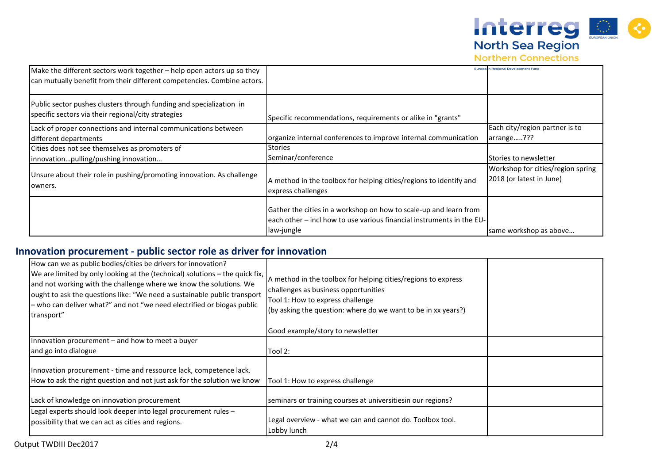

**Northern Connections** 

| Make the different sectors work together - help open actors up so they<br>can mutually benefit from their different competencies. Combine actors. |                                                                                                                                                          | <b>European Regional Development Fund</b>                     |
|---------------------------------------------------------------------------------------------------------------------------------------------------|----------------------------------------------------------------------------------------------------------------------------------------------------------|---------------------------------------------------------------|
| Public sector pushes clusters through funding and specialization in<br>specific sectors via their regional/city strategies                        | Specific recommendations, requirements or alike in "grants"                                                                                              |                                                               |
| Lack of proper connections and internal communications between                                                                                    |                                                                                                                                                          | Each city/region partner is to                                |
| different departments                                                                                                                             | organize internal conferences to improve internal communication                                                                                          | arrange???                                                    |
| Cities does not see themselves as promoters of                                                                                                    | <b>Stories</b>                                                                                                                                           |                                                               |
| innovationpulling/pushing innovation                                                                                                              | Seminar/conference                                                                                                                                       | Stories to newsletter                                         |
| Unsure about their role in pushing/promoting innovation. As challenge<br>lowners.                                                                 | A method in the toolbox for helping cities/regions to identify and<br>express challenges                                                                 | Workshop for cities/region spring<br>2018 (or latest in June) |
|                                                                                                                                                   | Gather the cities in a workshop on how to scale-up and learn from<br>each other – incl how to use various financial instruments in the EU-<br>law-jungle | same workshop as above                                        |

## **Innovation procurement - public sector role as driver for innovation**

| How can we as public bodies/cities be drivers for innovation?<br>We are limited by only looking at the (technical) solutions – the quick fix,<br>and not working with the challenge where we know the solutions. We<br>ought to ask the questions like: "We need a sustainable public transport<br>- who can deliver what?" and not "we need electrified or biogas public<br>transport" | A method in the toolbox for helping cities/regions to express<br>challenges as business opportunities<br>Tool 1: How to express challenge<br>(by asking the question: where do we want to be in xx years?) |  |
|-----------------------------------------------------------------------------------------------------------------------------------------------------------------------------------------------------------------------------------------------------------------------------------------------------------------------------------------------------------------------------------------|------------------------------------------------------------------------------------------------------------------------------------------------------------------------------------------------------------|--|
|                                                                                                                                                                                                                                                                                                                                                                                         | Good example/story to newsletter                                                                                                                                                                           |  |
| Innovation procurement - and how to meet a buyer                                                                                                                                                                                                                                                                                                                                        |                                                                                                                                                                                                            |  |
| and go into dialogue                                                                                                                                                                                                                                                                                                                                                                    | Tool 2:                                                                                                                                                                                                    |  |
| Innovation procurement - time and ressource lack, competence lack.<br>How to ask the right question and not just ask for the solution we know                                                                                                                                                                                                                                           | Tool 1: How to express challenge                                                                                                                                                                           |  |
| Lack of knowledge on innovation procurement                                                                                                                                                                                                                                                                                                                                             | seminars or training courses at universitiesin our regions?                                                                                                                                                |  |
| Legal experts should look deeper into legal procurement rules -<br>possibility that we can act as cities and regions.                                                                                                                                                                                                                                                                   | Legal overview - what we can and cannot do. Toolbox tool.<br>Lobby lunch                                                                                                                                   |  |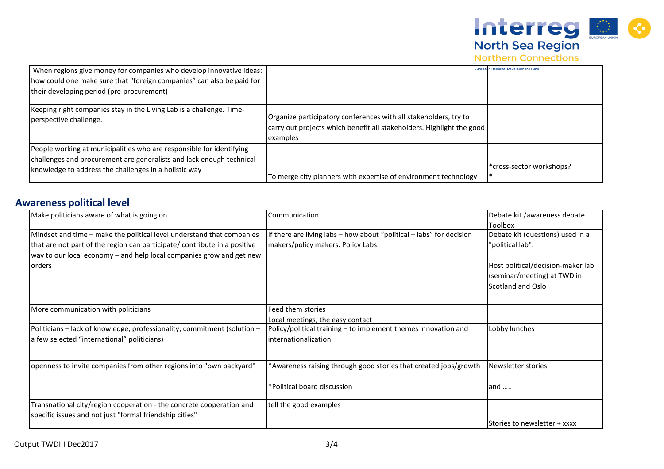

**Northern Connections** 

| When regions give money for companies who develop innovative ideas:<br>how could one make sure that "foreign companies" can also be paid for<br>their developing period (pre-procurement)             |                                                                                                                                                       | <b>Europesn Regional Development Fund</b> |
|-------------------------------------------------------------------------------------------------------------------------------------------------------------------------------------------------------|-------------------------------------------------------------------------------------------------------------------------------------------------------|-------------------------------------------|
| Keeping right companies stay in the Living Lab is a challenge. Time-<br>perspective challenge.                                                                                                        | Organize participatory conferences with all stakeholders, try to<br>carry out projects which benefit all stakeholders. Highlight the good<br>examples |                                           |
| People working at municipalities who are responsible for identifying<br>challenges and procurement are generalists and lack enough technical<br>knowledge to address the challenges in a holistic way | To merge city planners with expertise of environment technology                                                                                       | *cross-sector workshops?                  |

#### **Awareness political level**

| Make politicians aware of what is going on                                                                                                                                                                                                    | Communication                                                                                              | Debate kit /awareness debate.<br><b>Toolbox</b>                                                                                               |
|-----------------------------------------------------------------------------------------------------------------------------------------------------------------------------------------------------------------------------------------------|------------------------------------------------------------------------------------------------------------|-----------------------------------------------------------------------------------------------------------------------------------------------|
| Mindset and time - make the political level understand that companies<br>that are not part of the region can participate/ contribute in a positive<br>way to our local economy - and help local companies grow and get new<br><b>l</b> orders | If there are living labs - how about "political - labs" for decision<br>makers/policy makers. Policy Labs. | Debate kit (questions) used in a<br>"political lab".<br>Host political/decision-maker lab<br>(seminar/meeting) at TWD in<br>Scotland and Oslo |
| More communication with politicians                                                                                                                                                                                                           | Feed them stories<br>Local meetings, the easy contact                                                      |                                                                                                                                               |
| Politicians - lack of knowledge, professionality, commitment (solution -<br>a few selected "international" politicians)                                                                                                                       | Policy/political training - to implement themes innovation and<br>internationalization                     | Lobby lunches                                                                                                                                 |
| openness to invite companies from other regions into "own backyard"                                                                                                                                                                           | *Awareness raising through good stories that created jobs/growth<br>*Political board discussion            | Newsletter stories<br>and $\dots$                                                                                                             |
| Transnational city/region cooperation - the concrete cooperation and<br>specific issues and not just "formal friendship cities"                                                                                                               | tell the good examples                                                                                     | Stories to newsletter + xxxx                                                                                                                  |